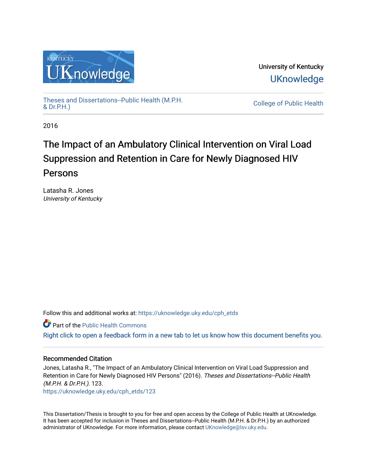

University of Kentucky **UKnowledge** 

[Theses and Dissertations--Public Health \(M.P.H.](https://uknowledge.uky.edu/cph_etds) & Dr.P.H.)

College of Public Health

2016

# The Impact of an Ambulatory Clinical Intervention on Viral Load Suppression and Retention in Care for Newly Diagnosed HIV Persons

Latasha R. Jones University of Kentucky

Follow this and additional works at: [https://uknowledge.uky.edu/cph\\_etds](https://uknowledge.uky.edu/cph_etds?utm_source=uknowledge.uky.edu%2Fcph_etds%2F123&utm_medium=PDF&utm_campaign=PDFCoverPages) 

Part of the [Public Health Commons](http://network.bepress.com/hgg/discipline/738?utm_source=uknowledge.uky.edu%2Fcph_etds%2F123&utm_medium=PDF&utm_campaign=PDFCoverPages) 

[Right click to open a feedback form in a new tab to let us know how this document benefits you.](https://uky.az1.qualtrics.com/jfe/form/SV_9mq8fx2GnONRfz7)

## Recommended Citation

Jones, Latasha R., "The Impact of an Ambulatory Clinical Intervention on Viral Load Suppression and Retention in Care for Newly Diagnosed HIV Persons" (2016). Theses and Dissertations--Public Health (M.P.H. & Dr.P.H.). 123.

[https://uknowledge.uky.edu/cph\\_etds/123](https://uknowledge.uky.edu/cph_etds/123?utm_source=uknowledge.uky.edu%2Fcph_etds%2F123&utm_medium=PDF&utm_campaign=PDFCoverPages) 

This Dissertation/Thesis is brought to you for free and open access by the College of Public Health at UKnowledge. It has been accepted for inclusion in Theses and Dissertations--Public Health (M.P.H. & Dr.P.H.) by an authorized administrator of UKnowledge. For more information, please contact [UKnowledge@lsv.uky.edu](mailto:UKnowledge@lsv.uky.edu).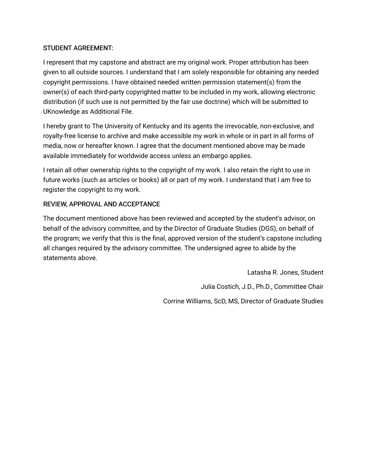## STUDENT AGREEMENT:

I represent that my capstone and abstract are my original work. Proper attribution has been given to all outside sources. I understand that I am solely responsible for obtaining any needed copyright permissions. I have obtained needed written permission statement(s) from the owner(s) of each third-party copyrighted matter to be included in my work, allowing electronic distribution (if such use is not permitted by the fair use doctrine) which will be submitted to UKnowledge as Additional File.

I hereby grant to The University of Kentucky and its agents the irrevocable, non-exclusive, and royalty-free license to archive and make accessible my work in whole or in part in all forms of media, now or hereafter known. I agree that the document mentioned above may be made available immediately for worldwide access unless an embargo applies.

I retain all other ownership rights to the copyright of my work. I also retain the right to use in future works (such as articles or books) all or part of my work. I understand that I am free to register the copyright to my work.

## REVIEW, APPROVAL AND ACCEPTANCE

The document mentioned above has been reviewed and accepted by the student's advisor, on behalf of the advisory committee, and by the Director of Graduate Studies (DGS), on behalf of the program; we verify that this is the final, approved version of the student's capstone including all changes required by the advisory committee. The undersigned agree to abide by the statements above.

> Latasha R. Jones, Student Julia Costich, J.D., Ph.D., Committee Chair Corrine Williams, ScD, MS, Director of Graduate Studies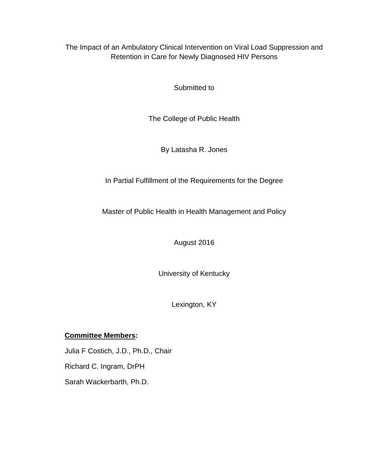The Impact of an Ambulatory Clinical Intervention on Viral Load Suppression and Retention in Care for Newly Diagnosed HIV Persons

Submitted to

The College of Public Health

By Latasha R. Jones

In Partial Fulfillment of the Requirements for the Degree

Master of Public Health in Health Management and Policy

August 2016

University of Kentucky

Lexington, KY

## **Committee Members:**

Julia F Costich, J.D., Ph.D., Chair Richard C. Ingram, DrPH Sarah Wackerbarth, Ph.D.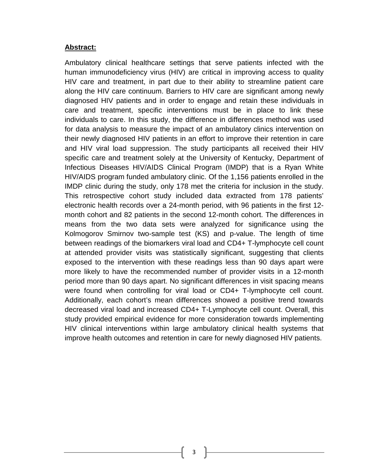## **Abstract:**

Ambulatory clinical healthcare settings that serve patients infected with the human immunodeficiency virus (HIV) are critical in improving access to quality HIV care and treatment, in part due to their ability to streamline patient care along the HIV care continuum. Barriers to HIV care are significant among newly diagnosed HIV patients and in order to engage and retain these individuals in care and treatment, specific interventions must be in place to link these individuals to care. In this study, the difference in differences method was used for data analysis to measure the impact of an ambulatory clinics intervention on their newly diagnosed HIV patients in an effort to improve their retention in care and HIV viral load suppression. The study participants all received their HIV specific care and treatment solely at the University of Kentucky, Department of Infectious Diseases HIV/AIDS Clinical Program (IMDP) that is a Ryan White HIV/AIDS program funded ambulatory clinic. Of the 1,156 patients enrolled in the IMDP clinic during the study, only 178 met the criteria for inclusion in the study. This retrospective cohort study included data extracted from 178 patients' electronic health records over a 24-month period, with 96 patients in the first 12 month cohort and 82 patients in the second 12-month cohort. The differences in means from the two data sets were analyzed for significance using the Kolmogorov Smirnov two-sample test (KS) and p-value. The length of time between readings of the biomarkers viral load and CD4+ T-lymphocyte cell count at attended provider visits was statistically significant, suggesting that clients exposed to the intervention with these readings less than 90 days apart were more likely to have the recommended number of provider visits in a 12-month period more than 90 days apart. No significant differences in visit spacing means were found when controlling for viral load or CD4+ T-lymphocyte cell count. Additionally, each cohort's mean differences showed a positive trend towards decreased viral load and increased CD4+ T-Lymphocyte cell count. Overall, this study provided empirical evidence for more consideration towards implementing HIV clinical interventions within large ambulatory clinical health systems that improve health outcomes and retention in care for newly diagnosed HIV patients.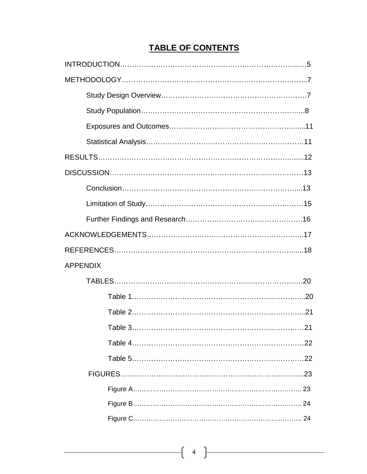## **TABLE OF CONTENTS**

| <b>APPENDIX</b> |  |
|-----------------|--|
|                 |  |
|                 |  |
|                 |  |
|                 |  |
|                 |  |
|                 |  |
|                 |  |
|                 |  |
|                 |  |
|                 |  |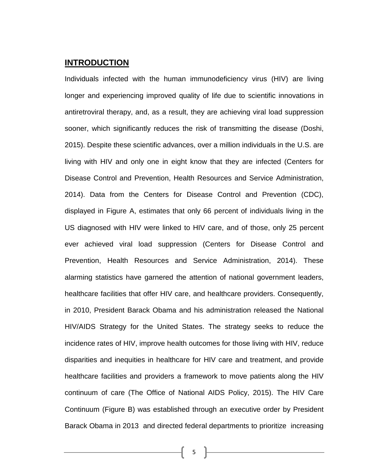## **INTRODUCTION**

Individuals infected with the human immunodeficiency virus (HIV) are living longer and experiencing improved quality of life due to scientific innovations in antiretroviral therapy, and, as a result, they are achieving viral load suppression sooner, which significantly reduces the risk of transmitting the disease (Doshi, 2015). Despite these scientific advances, over a million individuals in the U.S. are living with HIV and only one in eight know that they are infected (Centers for Disease Control and Prevention, Health Resources and Service Administration, 2014). Data from the Centers for Disease Control and Prevention (CDC), displayed in Figure A, estimates that only 66 percent of individuals living in the US diagnosed with HIV were linked to HIV care, and of those, only 25 percent ever achieved viral load suppression (Centers for Disease Control and Prevention, Health Resources and Service Administration, 2014). These alarming statistics have garnered the attention of national government leaders, healthcare facilities that offer HIV care, and healthcare providers. Consequently, in 2010, President Barack Obama and his administration released the National HIV/AIDS Strategy for the United States. The strategy seeks to reduce the incidence rates of HIV, improve health outcomes for those living with HIV, reduce disparities and inequities in healthcare for HIV care and treatment, and provide healthcare facilities and providers a framework to move patients along the HIV continuum of care (The Office of National AIDS Policy, 2015). The HIV Care Continuum (Figure B) was established through an executive order by President Barack Obama in 2013 and directed federal departments to prioritize increasing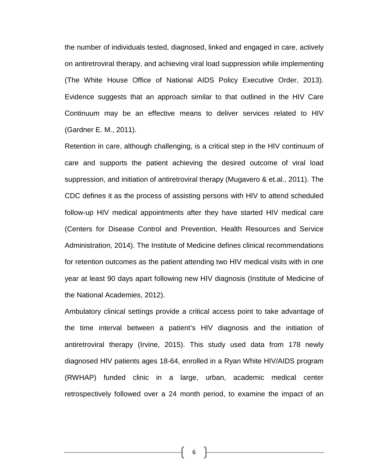the number of individuals tested, diagnosed, linked and engaged in care, actively on antiretroviral therapy, and achieving viral load suppression while implementing (The White House Office of National AIDS Policy Executive Order, 2013). Evidence suggests that an approach similar to that outlined in the HIV Care Continuum may be an effective means to deliver services related to HIV (Gardner E. M., 2011).

Retention in care, although challenging, is a critical step in the HIV continuum of care and supports the patient achieving the desired outcome of viral load suppression, and initiation of antiretroviral therapy (Mugavero & et.al., 2011). The CDC defines it as the process of assisting persons with HIV to attend scheduled follow-up HIV medical appointments after they have started HIV medical care (Centers for Disease Control and Prevention, Health Resources and Service Administration, 2014). The Institute of Medicine defines clinical recommendations for retention outcomes as the patient attending two HIV medical visits with in one year at least 90 days apart following new HIV diagnosis (Institute of Medicine of the National Academies, 2012).

Ambulatory clinical settings provide a critical access point to take advantage of the time interval between a patient's HIV diagnosis and the initiation of antiretroviral therapy (Irvine, 2015). This study used data from 178 newly diagnosed HIV patients ages 18-64, enrolled in a Ryan White HIV/AIDS program (RWHAP) funded clinic in a large, urban, academic medical center retrospectively followed over a 24 month period, to examine the impact of an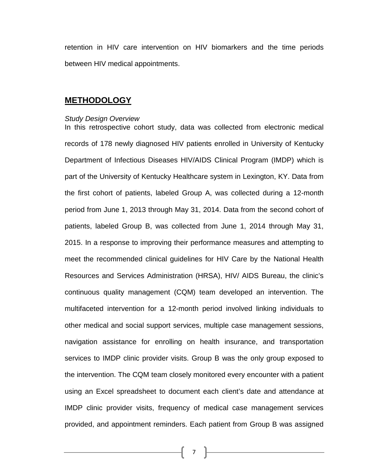retention in HIV care intervention on HIV biomarkers and the time periods between HIV medical appointments.

## **METHODOLOGY**

#### *Study Design Overview*

In this retrospective cohort study, data was collected from electronic medical records of 178 newly diagnosed HIV patients enrolled in University of Kentucky Department of Infectious Diseases HIV/AIDS Clinical Program (IMDP) which is part of the University of Kentucky Healthcare system in Lexington, KY. Data from the first cohort of patients, labeled Group A, was collected during a 12-month period from June 1, 2013 through May 31, 2014. Data from the second cohort of patients, labeled Group B, was collected from June 1, 2014 through May 31, 2015. In a response to improving their performance measures and attempting to meet the recommended clinical guidelines for HIV Care by the National Health Resources and Services Administration (HRSA), HIV/ AIDS Bureau, the clinic's continuous quality management (CQM) team developed an intervention. The multifaceted intervention for a 12-month period involved linking individuals to other medical and social support services, multiple case management sessions, navigation assistance for enrolling on health insurance, and transportation services to IMDP clinic provider visits. Group B was the only group exposed to the intervention. The CQM team closely monitored every encounter with a patient using an Excel spreadsheet to document each client's date and attendance at IMDP clinic provider visits, frequency of medical case management services provided, and appointment reminders. Each patient from Group B was assigned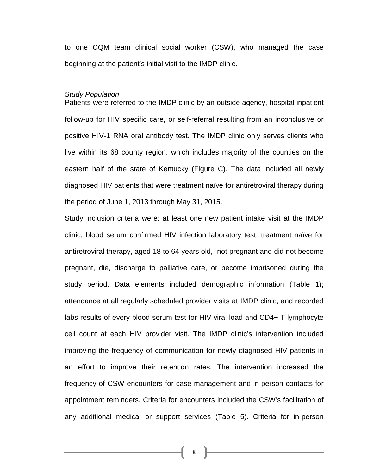to one CQM team clinical social worker (CSW), who managed the case beginning at the patient's initial visit to the IMDP clinic.

#### *Study Population*

Patients were referred to the IMDP clinic by an outside agency, hospital inpatient follow-up for HIV specific care, or self-referral resulting from an inconclusive or positive HIV-1 RNA oral antibody test. The IMDP clinic only serves clients who live within its 68 county region, which includes majority of the counties on the eastern half of the state of Kentucky (Figure C). The data included all newly diagnosed HIV patients that were treatment naïve for antiretroviral therapy during the period of June 1, 2013 through May 31, 2015.

Study inclusion criteria were: at least one new patient intake visit at the IMDP clinic, blood serum confirmed HIV infection laboratory test, treatment naïve for antiretroviral therapy, aged 18 to 64 years old, not pregnant and did not become pregnant, die, discharge to palliative care, or become imprisoned during the study period. Data elements included demographic information (Table 1); attendance at all regularly scheduled provider visits at IMDP clinic, and recorded labs results of every blood serum test for HIV viral load and CD4+ T-lymphocyte cell count at each HIV provider visit. The IMDP clinic's intervention included improving the frequency of communication for newly diagnosed HIV patients in an effort to improve their retention rates. The intervention increased the frequency of CSW encounters for case management and in-person contacts for appointment reminders. Criteria for encounters included the CSW's facilitation of any additional medical or support services (Table 5). Criteria for in-person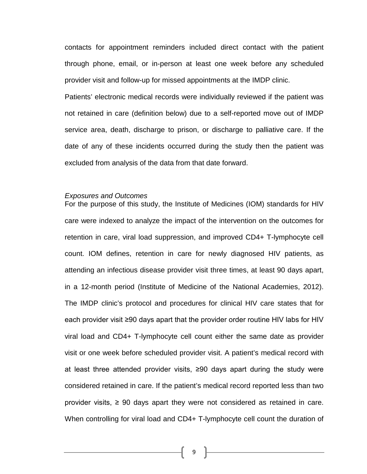contacts for appointment reminders included direct contact with the patient through phone, email, or in-person at least one week before any scheduled provider visit and follow-up for missed appointments at the IMDP clinic.

Patients' electronic medical records were individually reviewed if the patient was not retained in care (definition below) due to a self-reported move out of IMDP service area, death, discharge to prison, or discharge to palliative care. If the date of any of these incidents occurred during the study then the patient was excluded from analysis of the data from that date forward.

#### *Exposures and Outcomes*

For the purpose of this study, the Institute of Medicines (IOM) standards for HIV care were indexed to analyze the impact of the intervention on the outcomes for retention in care, viral load suppression, and improved CD4+ T-lymphocyte cell count. IOM defines, retention in care for newly diagnosed HIV patients, as attending an infectious disease provider visit three times, at least 90 days apart, in a 12-month period (Institute of Medicine of the National Academies, 2012). The IMDP clinic's protocol and procedures for clinical HIV care states that for each provider visit ≥90 days apart that the provider order routine HIV labs for HIV viral load and CD4+ T-lymphocyte cell count either the same date as provider visit or one week before scheduled provider visit. A patient's medical record with at least three attended provider visits, ≥90 days apart during the study were considered retained in care. If the patient's medical record reported less than two provider visits,  $\geq 90$  days apart they were not considered as retained in care. When controlling for viral load and CD4+ T-lymphocyte cell count the duration of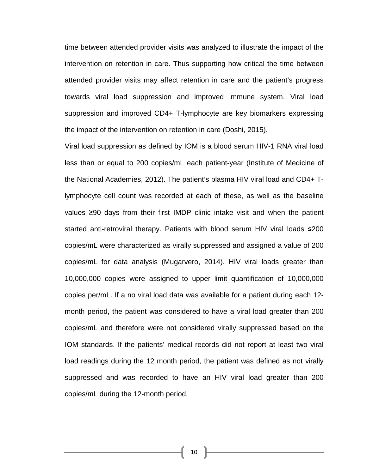time between attended provider visits was analyzed to illustrate the impact of the intervention on retention in care. Thus supporting how critical the time between attended provider visits may affect retention in care and the patient's progress towards viral load suppression and improved immune system. Viral load suppression and improved CD4+ T-lymphocyte are key biomarkers expressing the impact of the intervention on retention in care (Doshi, 2015).

Viral load suppression as defined by IOM is a blood serum HIV-1 RNA viral load less than or equal to 200 copies/mL each patient-year (Institute of Medicine of the National Academies, 2012). The patient's plasma HIV viral load and CD4+ Tlymphocyte cell count was recorded at each of these, as well as the baseline values ≥90 days from their first IMDP clinic intake visit and when the patient started anti-retroviral therapy. Patients with blood serum HIV viral loads ≤200 copies/mL were characterized as virally suppressed and assigned a value of 200 copies/mL for data analysis (Mugarvero, 2014). HIV viral loads greater than 10,000,000 copies were assigned to upper limit quantification of 10,000,000 copies per/mL. If a no viral load data was available for a patient during each 12 month period, the patient was considered to have a viral load greater than 200 copies/mL and therefore were not considered virally suppressed based on the IOM standards. If the patients' medical records did not report at least two viral load readings during the 12 month period, the patient was defined as not virally suppressed and was recorded to have an HIV viral load greater than 200 copies/mL during the 12-month period.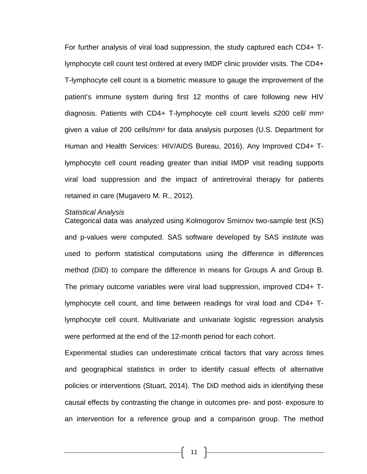For further analysis of viral load suppression, the study captured each CD4+ Tlymphocyte cell count test ordered at every IMDP clinic provider visits. The CD4+ T-lymphocyte cell count is a biometric measure to gauge the improvement of the patient's immune system during first 12 months of care following new HIV diagnosis. Patients with CD4+ T-lymphocyte cell count levels  $≤200$  cell/ mm<sup>3</sup> given a value of 200 cells/mmᶟ for data analysis purposes (U.S. Department for Human and Health Services: HIV/AIDS Bureau, 2016). Any Improved CD4+ Tlymphocyte cell count reading greater than initial IMDP visit reading supports viral load suppression and the impact of antiretroviral therapy for patients retained in care (Mugavero M. R., 2012).

#### *Statistical Analysis*

Categorical data was analyzed using Kolmogorov Smirnov two-sample test (KS) and p-values were computed. SAS software developed by SAS institute was used to perform statistical computations using the difference in differences method (DiD) to compare the difference in means for Groups A and Group B. The primary outcome variables were viral load suppression, improved CD4+ Tlymphocyte cell count, and time between readings for viral load and CD4+ Tlymphocyte cell count. Multivariate and univariate logistic regression analysis were performed at the end of the 12-month period for each cohort.

Experimental studies can underestimate critical factors that vary across times and geographical statistics in order to identify casual effects of alternative policies or interventions (Stuart, 2014). The DiD method aids in identifying these causal effects by contrasting the change in outcomes pre- and post- exposure to an intervention for a reference group and a comparison group. The method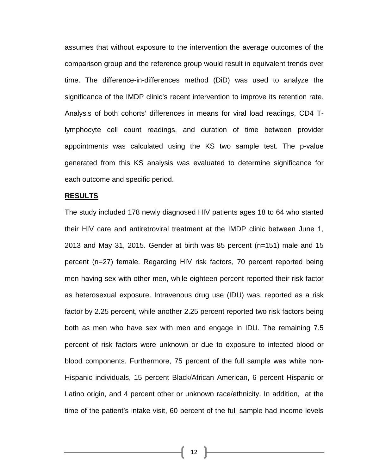assumes that without exposure to the intervention the average outcomes of the comparison group and the reference group would result in equivalent trends over time. The difference-in-differences method (DiD) was used to analyze the significance of the IMDP clinic's recent intervention to improve its retention rate. Analysis of both cohorts' differences in means for viral load readings, CD4 Tlymphocyte cell count readings, and duration of time between provider appointments was calculated using the KS two sample test. The p-value generated from this KS analysis was evaluated to determine significance for each outcome and specific period.

#### **RESULTS**

The study included 178 newly diagnosed HIV patients ages 18 to 64 who started their HIV care and antiretroviral treatment at the IMDP clinic between June 1, 2013 and May 31, 2015. Gender at birth was 85 percent (n=151) male and 15 percent (n=27) female. Regarding HIV risk factors, 70 percent reported being men having sex with other men, while eighteen percent reported their risk factor as heterosexual exposure. Intravenous drug use (IDU) was, reported as a risk factor by 2.25 percent, while another 2.25 percent reported two risk factors being both as men who have sex with men and engage in IDU. The remaining 7.5 percent of risk factors were unknown or due to exposure to infected blood or blood components. Furthermore, 75 percent of the full sample was white non-Hispanic individuals, 15 percent Black/African American, 6 percent Hispanic or Latino origin, and 4 percent other or unknown race/ethnicity. In addition, at the time of the patient's intake visit, 60 percent of the full sample had income levels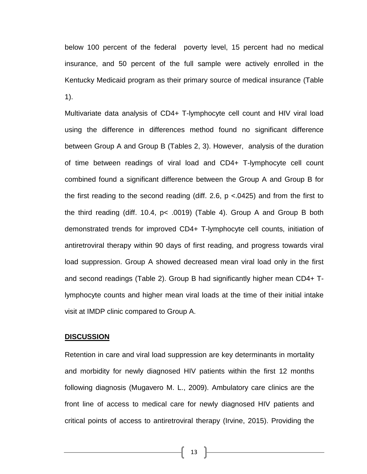below 100 percent of the federal poverty level, 15 percent had no medical insurance, and 50 percent of the full sample were actively enrolled in the Kentucky Medicaid program as their primary source of medical insurance (Table 1).

Multivariate data analysis of CD4+ T-lymphocyte cell count and HIV viral load using the difference in differences method found no significant difference between Group A and Group B (Tables 2, 3). However, analysis of the duration of time between readings of viral load and CD4+ T-lymphocyte cell count combined found a significant difference between the Group A and Group B for the first reading to the second reading (diff. 2.6, p <.0425) and from the first to the third reading (diff. 10.4, p< .0019) (Table 4). Group A and Group B both demonstrated trends for improved CD4+ T-lymphocyte cell counts, initiation of antiretroviral therapy within 90 days of first reading, and progress towards viral load suppression. Group A showed decreased mean viral load only in the first and second readings (Table 2). Group B had significantly higher mean CD4+ Tlymphocyte counts and higher mean viral loads at the time of their initial intake visit at IMDP clinic compared to Group A.

## **DISCUSSION**

Retention in care and viral load suppression are key determinants in mortality and morbidity for newly diagnosed HIV patients within the first 12 months following diagnosis (Mugavero M. L., 2009). Ambulatory care clinics are the front line of access to medical care for newly diagnosed HIV patients and critical points of access to antiretroviral therapy (Irvine, 2015). Providing the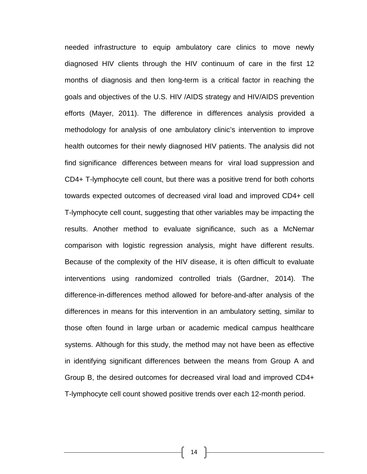needed infrastructure to equip ambulatory care clinics to move newly diagnosed HIV clients through the HIV continuum of care in the first 12 months of diagnosis and then long-term is a critical factor in reaching the goals and objectives of the U.S. HIV /AIDS strategy and HIV/AIDS prevention efforts (Mayer, 2011). The difference in differences analysis provided a methodology for analysis of one ambulatory clinic's intervention to improve health outcomes for their newly diagnosed HIV patients. The analysis did not find significance differences between means for viral load suppression and CD4+ T-lymphocyte cell count, but there was a positive trend for both cohorts towards expected outcomes of decreased viral load and improved CD4+ cell T-lymphocyte cell count, suggesting that other variables may be impacting the results. Another method to evaluate significance, such as a McNemar comparison with logistic regression analysis, might have different results. Because of the complexity of the HIV disease, it is often difficult to evaluate interventions using randomized controlled trials (Gardner, 2014). The difference-in-differences method allowed for before-and-after analysis of the differences in means for this intervention in an ambulatory setting, similar to those often found in large urban or academic medical campus healthcare systems. Although for this study, the method may not have been as effective in identifying significant differences between the means from Group A and Group B, the desired outcomes for decreased viral load and improved CD4+ T-lymphocyte cell count showed positive trends over each 12-month period.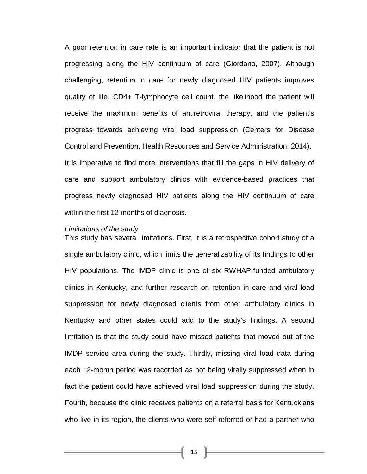A poor retention in care rate is an important indicator that the patient is not progressing along the HIV continuum of care (Giordano, 2007). Although challenging, retention in care for newly diagnosed HIV patients improves quality of life, CD4+ T-lymphocyte cell count, the likelihood the patient will receive the maximum benefits of antiretroviral therapy, and the patient's progress towards achieving viral load suppression (Centers for Disease Control and Prevention, Health Resources and Service Administration, 2014). It is imperative to find more interventions that fill the gaps in HIV delivery of care and support ambulatory clinics with evidence-based practices that progress newly diagnosed HIV patients along the HIV continuum of care within the first 12 months of diagnosis.

#### *Limitations of the study*

This study has several limitations. First, it is a retrospective cohort study of a single ambulatory clinic, which limits the generalizability of its findings to other HIV populations. The IMDP clinic is one of six RWHAP-funded ambulatory clinics in Kentucky, and further research on retention in care and viral load suppression for newly diagnosed clients from other ambulatory clinics in Kentucky and other states could add to the study's findings. A second limitation is that the study could have missed patients that moved out of the IMDP service area during the study. Thirdly, missing viral load data during each 12-month period was recorded as not being virally suppressed when in fact the patient could have achieved viral load suppression during the study. Fourth, because the clinic receives patients on a referral basis for Kentuckians who live in its region, the clients who were self-referred or had a partner who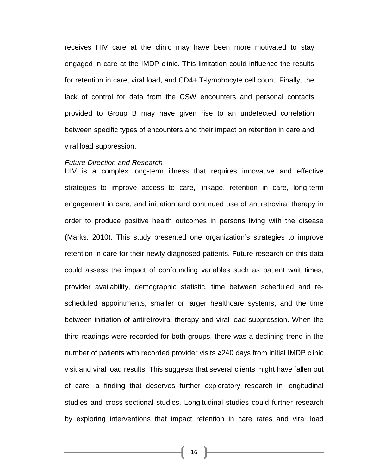receives HIV care at the clinic may have been more motivated to stay engaged in care at the IMDP clinic. This limitation could influence the results for retention in care, viral load, and CD4+ T-lymphocyte cell count. Finally, the lack of control for data from the CSW encounters and personal contacts provided to Group B may have given rise to an undetected correlation between specific types of encounters and their impact on retention in care and viral load suppression.

#### *Future Direction and Research*

HIV is a complex long-term illness that requires innovative and effective strategies to improve access to care, linkage, retention in care, long-term engagement in care, and initiation and continued use of antiretroviral therapy in order to produce positive health outcomes in persons living with the disease (Marks, 2010). This study presented one organization's strategies to improve retention in care for their newly diagnosed patients. Future research on this data could assess the impact of confounding variables such as patient wait times, provider availability, demographic statistic, time between scheduled and rescheduled appointments, smaller or larger healthcare systems, and the time between initiation of antiretroviral therapy and viral load suppression. When the third readings were recorded for both groups, there was a declining trend in the number of patients with recorded provider visits ≥240 days from initial IMDP clinic visit and viral load results. This suggests that several clients might have fallen out of care, a finding that deserves further exploratory research in longitudinal studies and cross-sectional studies. Longitudinal studies could further research by exploring interventions that impact retention in care rates and viral load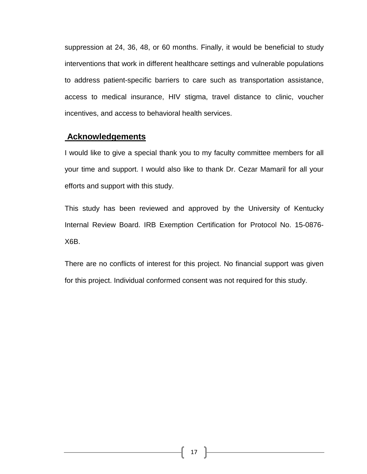suppression at 24, 36, 48, or 60 months. Finally, it would be beneficial to study interventions that work in different healthcare settings and vulnerable populations to address patient-specific barriers to care such as transportation assistance, access to medical insurance, HIV stigma, travel distance to clinic, voucher incentives, and access to behavioral health services.

## **Acknowledgements**

I would like to give a special thank you to my faculty committee members for all your time and support. I would also like to thank Dr. Cezar Mamaril for all your efforts and support with this study.

This study has been reviewed and approved by the University of Kentucky Internal Review Board. IRB Exemption Certification for Protocol No. 15-0876- X6B.

There are no conflicts of interest for this project. No financial support was given for this project. Individual conformed consent was not required for this study.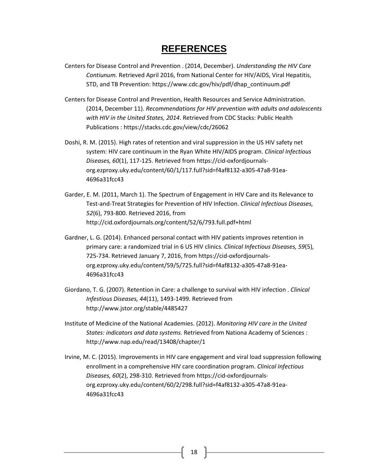## **REFERENCES**

- Centers for Disease Control and Prevention . (2014, December). *Understanding the HIV Care Contiunum.* Retrieved April 2016, from National Center for HIV/AIDS, Viral Hepatitis, STD, and TB Prevention: https://www.cdc.gov/hiv/pdf/dhap\_continuum.pdf
- Centers for Disease Control and Prevention, Health Resources and Service Administration. (2014, December 11). *Recommendations for HIV prevention with adults and adolescents with HIV in the United States, 2014*. Retrieved from CDC Stacks: Public Health Publications : https://stacks.cdc.gov/view/cdc/26062
- Doshi, R. M. (2015). High rates of retention and viral suppression in the US HIV safety net system: HIV care continuum in the Ryan White HIV/AIDS program. *Clinical Infectious Diseases, 60*(1), 117-125. Retrieved from https://cid-oxfordjournalsorg.ezproxy.uky.edu/content/60/1/117.full?sid=f4af8132-a305-47a8-91ea-4696a31fcc43
- Garder, E. M. (2011, March 1). The Spectrum of Engagement in HIV Care and its Relevance to Test-and-Treat Strategies for Prevention of HIV Infection. *Clinical Infectious Diseases, 52*(6), 793-800. Retrieved 2016, from http://cid.oxfordjournals.org/content/52/6/793.full.pdf+html
- Gardner, L. G. (2014). Enhanced personal contact with HIV patients improves retention in primary care: a randomized trial in 6 US HIV clinics. *Clinical Infectious Diseases, 59*(5), 725-734. Retrieved January 7, 2016, from https://cid-oxfordjournalsorg.ezproxy.uky.edu/content/59/5/725.full?sid=f4af8132-a305-47a8-91ea-4696a31fcc43
- Giordano, T. G. (2007). Retention in Care: a challenge to survival with HIV infection . *Clinical Infestious Diseases, 44*(11), 1493-1499. Retrieved from http://www.jstor.org/stable/4485427
- Institute of Medicine of the National Academies. (2012). *Monitoring HIV care in the United States: indicators and data systems.* Retrieved from Nationa Academy of Sciences : http://www.nap.edu/read/13408/chapter/1
- Irvine, M. C. (2015). Improvements in HIV care engagement and viral load suppression following enrollment in a comprehensive HIV care coordination program. *Clinical Infectious Diseases, 60*(2), 298-310. Retrieved from https://cid-oxfordjournalsorg.ezproxy.uky.edu/content/60/2/298.full?sid=f4af8132-a305-47a8-91ea-4696a31fcc43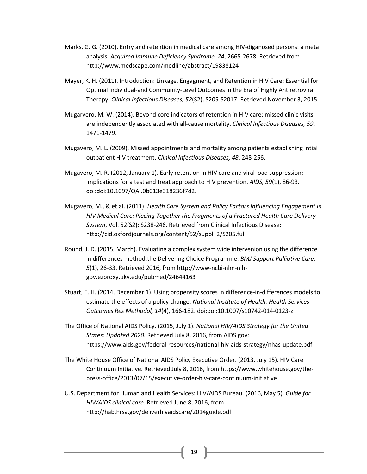- Marks, G. G. (2010). Entry and retention in medical care among HIV-diganosed persons: a meta analysis. *Acquired Immune Deficiency Syndrome, 24*, 2665-2678. Retrieved from http://www.medscape.com/medline/abstract/19838124
- Mayer, K. H. (2011). Introduction: Linkage, Engagment, and Retention in HIV Care: Essential for Optimal Individual-and Community-Level Outcomes in the Era of Highly Antiretroviral Therapy. *Clinical Infectious Diseases, 52*(S2), S205-S2017. Retrieved November 3, 2015
- Mugarvero, M. W. (2014). Beyond core indicators of retention in HIV care: missed clinic visits are independently associated with all-cause mortality. *Clinical Infectious Diseases, 59*, 1471-1479.
- Mugavero, M. L. (2009). Missed appointments and mortality among patients establishing intial outpatient HIV treatment. *Clinical Infectious Diseases, 48*, 248-256.
- Mugavero, M. R. (2012, January 1). Early retention in HIV care and viral load suppression: implications for a test and treat approach to HIV prevention. *AIDS, 59*(1), 86-93. doi:doi:10.1097/QAI.0b013e318236f7d2.
- Mugavero, M., & et.al. (2011). *Health Care System and Policy Factors Influencing Engagement in HIV Medical Care: Piecing Together the Fragments of a Fractured Health Care Delivery System*, Vol. 52(S2): S238-246. Retrieved from Clinical Infectious Disease: http://cid.oxfordjournals.org/content/52/suppl\_2/S205.full
- Round, J. D. (2015, March). Evaluating a complex system wide intervenion using the difference in differences method:the Delivering Choice Programme. *BMJ Support Palliative Care, 5*(1), 26-33. Retrieved 2016, from http://www-ncbi-nlm-nihgov.ezproxy.uky.edu/pubmed/24644163
- Stuart, E. H. (2014, December 1). Using propensity scores in difference-in-differences models to estimate the effects of a policy change. *National Institute of Health: Health Services Outcomes Res Methodol, 14*(4), 166-182. doi:doi:10.1007/s10742-014-0123-z
- The Office of National AIDS Policy. (2015, July 1). *National HIV/AIDS Strategy for the United States: Updated 2020.* Retrieved July 8, 2016, from AIDS.gov: https://www.aids.gov/federal-resources/national-hiv-aids-strategy/nhas-update.pdf
- The White House Office of National AIDS Policy Executive Order. (2013, July 15). HIV Care Continuum Initiative. Retrieved July 8, 2016, from https://www.whitehouse.gov/thepress-office/2013/07/15/executive-order-hiv-care-continuum-initiative
- U.S. Department for Human and Health Services: HIV/AIDS Bureau. (2016, May 5). *Guide for HIV/AIDS clinical care.* Retrieved June 8, 2016, from http://hab.hrsa.gov/deliverhivaidscare/2014guide.pdf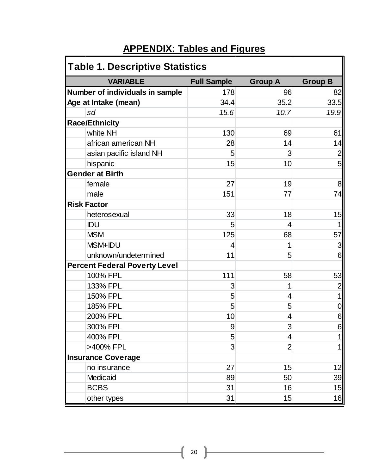# **APPENDIX: Tables and Figures**

| <b>Table 1. Descriptive Statistics</b> |                    |                |                |  |  |
|----------------------------------------|--------------------|----------------|----------------|--|--|
| <b>VARIABLE</b>                        | <b>Full Sample</b> | <b>Group A</b> | <b>Group B</b> |  |  |
| Number of individuals in sample        | 178                | 96             | 82             |  |  |
| Age at Intake (mean)                   | 34.4               | 35.2           | 33.5           |  |  |
| sd                                     | 15.6               | 10.7           | 19.9           |  |  |
| <b>Race/Ethnicity</b>                  |                    |                |                |  |  |
| white NH                               | 130                | 69             | 61             |  |  |
| african american NH                    | 28                 | 14             | 14             |  |  |
| asian pacific island NH                | 5                  | 3              | $\overline{2}$ |  |  |
| hispanic                               | 15                 | 10             | 5              |  |  |
| <b>Gender at Birth</b>                 |                    |                |                |  |  |
| female                                 | 27                 | 19             | 8              |  |  |
| male                                   | 151                | 77             | 74             |  |  |
| <b>Risk Factor</b>                     |                    |                |                |  |  |
| heterosexual                           | 33                 | 18             | 15             |  |  |
| IDU                                    | 5                  | 4              | $\mathbf 1$    |  |  |
| <b>MSM</b>                             | 125                | 68             | 57             |  |  |
| MSM+IDU                                | 4                  | 1              | 3              |  |  |
| unknown/undetermined                   | 11                 | 5              | 6              |  |  |
| <b>Percent Federal Poverty Level</b>   |                    |                |                |  |  |
| 100% FPL                               | 111                | 58             | 53             |  |  |
| 133% FPL                               | 3                  | 1              | $\overline{2}$ |  |  |
| 150% FPL                               | 5                  | 4              | 1              |  |  |
| 185% FPL                               | 5                  | 5              | 0              |  |  |
| 200% FPL                               | 10                 | 4              | 6              |  |  |
| 300% FPL                               | 9                  | 3              | 6              |  |  |
| 400% FPL                               | 5                  | 4              | 1              |  |  |
| >400% FPL                              | 3                  | $\overline{2}$ | 1              |  |  |
| <b>Insurance Coverage</b>              |                    |                |                |  |  |
| no insurance                           | 27                 | 15             | 12             |  |  |
| Medicaid                               | 89                 | 50             | 39             |  |  |
| <b>BCBS</b>                            | 31                 | 16             | 15             |  |  |
| other types                            | 31                 | 15             | 16             |  |  |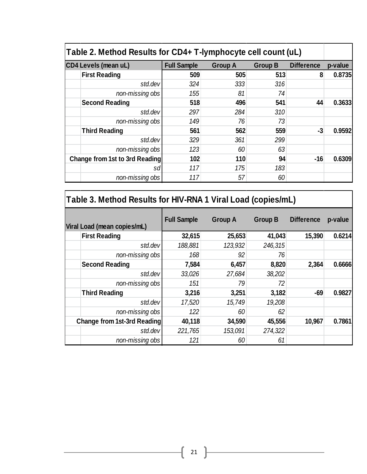| Table 2. Method Results for CD4+ T-lymphocyte cell count (uL) |                    |                |                |                   |         |
|---------------------------------------------------------------|--------------------|----------------|----------------|-------------------|---------|
| <b>CD4 Levels (mean uL)</b>                                   | <b>Full Sample</b> | <b>Group A</b> | <b>Group B</b> | <b>Difference</b> | p-value |
| <b>First Reading</b>                                          | 509                | 505            | 513            | 8                 | 0.8735  |
| std.dev                                                       | 324                | 333            | 316            |                   |         |
| non-missing obs                                               | 155                | 81             | 74             |                   |         |
| <b>Second Reading</b>                                         | 518                | 496            | 541            | 44                | 0.3633  |
| std.dev                                                       | 297                | 284            | 310            |                   |         |
| non-missing obs                                               | 149                | 76             | 73             |                   |         |
| <b>Third Reading</b>                                          | 561                | 562            | 559            | $-3$              | 0.9592  |
| std.dev                                                       | 329                | 361            | 299            |                   |         |
| non-missing obs                                               | 123                | 60             | 63             |                   |         |
| <b>Change from 1st to 3rd Reading</b>                         | 102                | 110            | 94             | $-16$             | 0.6309  |
| sd                                                            | 117                | 175            | 183            |                   |         |
| non-missing obs                                               | 117                | 57             | 60             |                   |         |

| Table 3. Method Results for HIV-RNA 1 Viral Load (copies/mL) |                    |                |                |                   |         |
|--------------------------------------------------------------|--------------------|----------------|----------------|-------------------|---------|
| Viral Load (mean copies/mL)                                  | <b>Full Sample</b> | <b>Group A</b> | <b>Group B</b> | <b>Difference</b> | p-value |
| <b>First Reading</b>                                         | 32,615             | 25,653         | 41,043         | 15,390            | 0.6214  |
| std.dev                                                      | 188,881            | 123,932        | 246,315        |                   |         |
| non-missing obs                                              | 168                | 92             | 76             |                   |         |
| <b>Second Reading</b>                                        | 7,584              | 6,457          | 8,820          | 2,364             | 0.6666  |
| std.dev                                                      | 33,026             | 27,684         | 38,202         |                   |         |
| non-missing obs                                              | 151                | 79             | 72             |                   |         |
| <b>Third Reading</b>                                         | 3,216              | 3,251          | 3,182          | $-69$             | 0.9827  |
| std.dev                                                      | 17,520             | 15,749         | 19,208         |                   |         |
| non-missing obs                                              | 122                | 60             | 62             |                   |         |
| Change from 1st-3rd Reading                                  | 40,118             | 34,590         | 45,556         | 10,967            | 0.7861  |
| std.dev                                                      | 221,765            | 153,091        | 274,322        |                   |         |
| non-missing obs                                              | 121                | 60             | 61             |                   |         |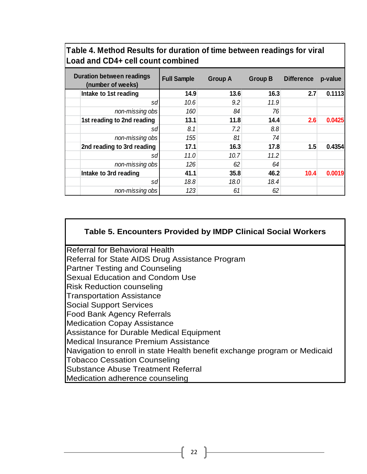| Table 4. Method Results for duration of time between readings for viral |  |
|-------------------------------------------------------------------------|--|
| Load and CD4+ cell count combined                                       |  |

| <b>Duration between readings</b><br>(number of weeks) | <b>Full Sample</b> | <b>Group A</b> | <b>Group B</b> | <b>Difference</b> | p-value |
|-------------------------------------------------------|--------------------|----------------|----------------|-------------------|---------|
| Intake to 1st reading                                 | 14.9               | 13.6           | 16.3           | 2.7               | 0.1113  |
| sd                                                    | 10.6               | 9.2            | 11.9           |                   |         |
| non-missing obs                                       | 160                | 84             | 76             |                   |         |
| 1st reading to 2nd reading                            | 13.1               | 11.8           | 14.4           | 2.6               | 0.0425  |
| sdl                                                   | 8.1                | 7.2            | 8.8            |                   |         |
| non-missing obs                                       | 155                | 81             | 74             |                   |         |
| 2nd reading to 3rd reading                            | 17.1               | 16.3           | 17.8           | 1.5               | 0.4354  |
| sd                                                    | 11.0               | 10.7           | 11.2           |                   |         |
| non-missing obs                                       | 126                | 62             | 64             |                   |         |
| Intake to 3rd reading                                 | 41.1               | 35.8           | 46.2           | 10.4              | 0.0019  |
| sd                                                    | 18.8               | 18.0           | 18.4           |                   |         |
| non-missing obs                                       | 123                | 61             | 62             |                   |         |

## **Table 5. Encounters Provided by IMDP Clinical Social Workers**

Referral for Behavioral Health Referral for State AIDS Drug Assistance Program Partner Testing and Counseling Sexual Education and Condom Use Risk Reduction counseling Transportation Assistance Social Support Services Food Bank Agency Referrals Medication Copay Assistance Assistance for Durable Medical Equipment Medical Insurance Premium Assistance Navigation to enroll in state Health benefit exchange program or Medicaid Tobacco Cessation Counseling Substance Abuse Treatment Referral Medication adherence counseling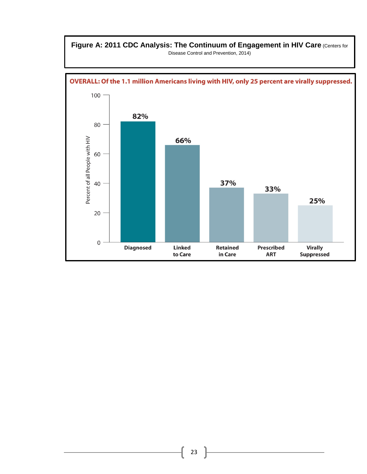### **Figure A: 2011 CDC Analysis: The Continuum of Engagement in HIV Care** (Centers for Disease Control and Prevention, 2014)